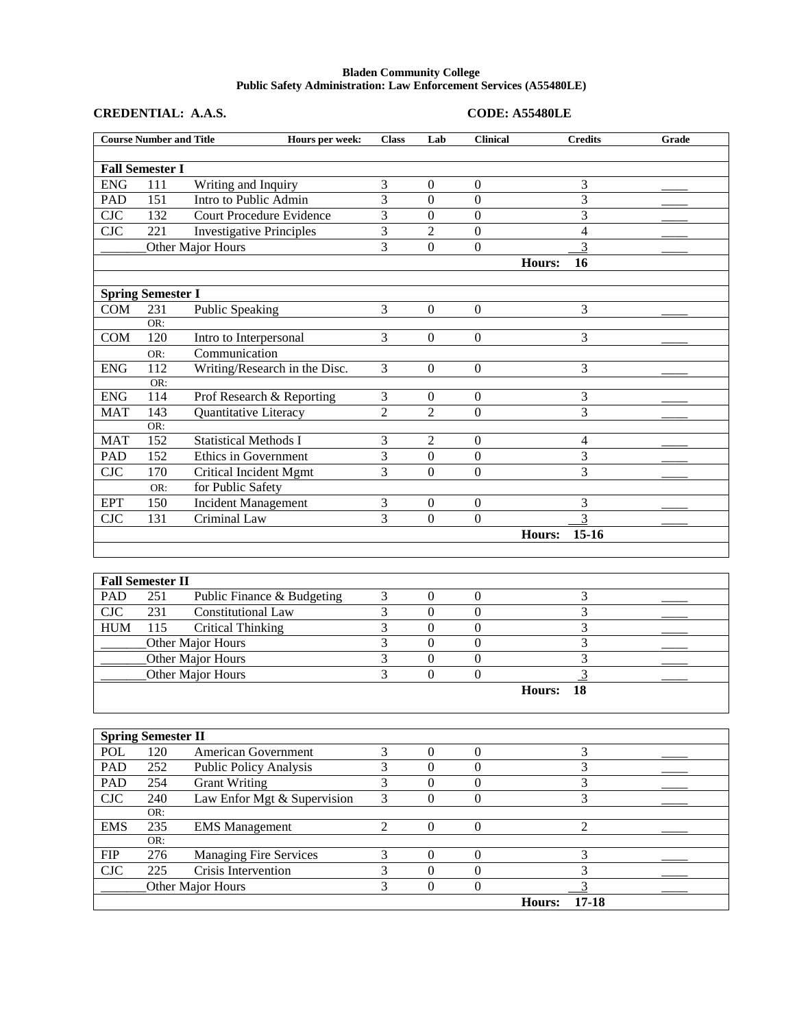## **Bladen Community College Public Safety Administration: Law Enforcement Services (A55480LE)**

| CREDENTIAL: A.A.S. |  |
|--------------------|--|
|--------------------|--|

## **CREDENTIAL: A.A.S. CODE: A55480LE**

|            | <b>Course Number and Title</b> | Hours per week:                 | <b>Class</b>   | Lab              | <b>Clinical</b>  | <b>Credits</b>      | Grade |  |
|------------|--------------------------------|---------------------------------|----------------|------------------|------------------|---------------------|-------|--|
|            | <b>Fall Semester I</b>         |                                 |                |                  |                  |                     |       |  |
| <b>ENG</b> | 111                            | Writing and Inquiry             | 3              | $\mathbf{0}$     | $\mathbf{0}$     | 3                   |       |  |
| <b>PAD</b> | 151                            | Intro to Public Admin           | 3              | $\overline{0}$   | $\overline{0}$   | 3                   |       |  |
| <b>CJC</b> | 132                            | <b>Court Procedure Evidence</b> | 3              | $\boldsymbol{0}$ | $\boldsymbol{0}$ | 3                   |       |  |
| <b>CJC</b> | 221                            | <b>Investigative Principles</b> | 3              | $\overline{2}$   | $\boldsymbol{0}$ | 4                   |       |  |
|            |                                | Other Major Hours               | 3              | $\boldsymbol{0}$ | $\boldsymbol{0}$ | 3                   |       |  |
|            |                                |                                 |                |                  |                  | 16<br>Hours:        |       |  |
|            |                                |                                 |                |                  |                  |                     |       |  |
|            | <b>Spring Semester I</b>       |                                 |                |                  |                  |                     |       |  |
| COM        | 231                            | <b>Public Speaking</b>          | 3              | $\overline{0}$   | $\mathbf{0}$     | 3                   |       |  |
|            | OR:                            |                                 |                |                  |                  |                     |       |  |
| COM        | 120                            | Intro to Interpersonal          | 3              | $\theta$         | $\boldsymbol{0}$ | 3                   |       |  |
|            | OR:                            | Communication                   |                |                  |                  |                     |       |  |
| <b>ENG</b> | 112                            | Writing/Research in the Disc.   | 3              | $\mathbf{0}$     | $\boldsymbol{0}$ | 3                   |       |  |
|            | OR:                            |                                 |                |                  |                  |                     |       |  |
| <b>ENG</b> | 114                            | Prof Research & Reporting       | 3              | $\boldsymbol{0}$ | $\boldsymbol{0}$ | 3                   |       |  |
| <b>MAT</b> | 143                            | Quantitative Literacy           | $\overline{2}$ | $\overline{2}$   | $\boldsymbol{0}$ | 3                   |       |  |
|            | OR:                            |                                 |                |                  |                  |                     |       |  |
| <b>MAT</b> | 152                            | <b>Statistical Methods I</b>    | 3              | $\mathfrak{2}$   | $\boldsymbol{0}$ | 4                   |       |  |
| <b>PAD</b> | 152                            | Ethics in Government            | 3              | $\mathbf{0}$     | $\overline{0}$   | 3                   |       |  |
| CJC        | 170                            | <b>Critical Incident Mgmt</b>   | 3              | $\theta$         | $\overline{0}$   | 3                   |       |  |
|            | OR:                            | for Public Safety               |                |                  |                  |                     |       |  |
| <b>EPT</b> | 150                            | <b>Incident Management</b>      | 3              | $\boldsymbol{0}$ | $\boldsymbol{0}$ | 3                   |       |  |
| CJC        | 131                            | Criminal Law                    | 3              | $\Omega$         | $\overline{0}$   | 3                   |       |  |
|            |                                |                                 |                |                  |                  | $15 - 16$<br>Hours: |       |  |
|            |                                |                                 |                |                  |                  |                     |       |  |
|            | <b>Fall Semester II</b>        |                                 |                |                  |                  |                     |       |  |
| <b>PAD</b> | 251                            | Public Finance & Budgeting      | 3              | $\boldsymbol{0}$ | $\boldsymbol{0}$ | 3                   |       |  |
| <b>CJC</b> | 231                            | Constitutional Law              | 3              | $\boldsymbol{0}$ | $\boldsymbol{0}$ | 3                   |       |  |
| <b>HUM</b> | 115                            | <b>Critical Thinking</b>        | 3              | $\boldsymbol{0}$ | $\boldsymbol{0}$ | 3                   |       |  |
|            |                                | Other Major Hours               | 3              | $\boldsymbol{0}$ | $\boldsymbol{0}$ | 3                   |       |  |
|            |                                | Other Major Hours               | 3              | $\boldsymbol{0}$ | $\boldsymbol{0}$ | 3                   |       |  |
|            |                                | Other Major Hours               | 3              | $\theta$         | $\overline{0}$   | 3                   |       |  |
|            |                                |                                 |                |                  |                  | 18<br>Hours:        |       |  |
|            |                                |                                 |                |                  |                  |                     |       |  |
|            |                                |                                 |                |                  |                  |                     |       |  |
|            | <b>Spring Semester II</b>      |                                 |                |                  |                  |                     |       |  |
| <b>POL</b> | 120                            | American Government             | $\overline{3}$ | $\boldsymbol{0}$ | $\boldsymbol{0}$ | 3                   |       |  |
| PAD        | 252                            | <b>Public Policy Analysis</b>   | $\overline{3}$ | $\mathbf{0}$     | $\overline{0}$   | $\overline{3}$      |       |  |
| PAD        | 254                            | <b>Grant Writing</b>            | $\overline{3}$ | $\mathbf{0}$     | $\overline{0}$   | 3                   |       |  |
| CJC        | 240                            | Law Enfor Mgt & Supervision     | $\overline{3}$ | $\mathbf{0}$     | $\boldsymbol{0}$ | 3                   |       |  |
|            | OR:                            |                                 |                |                  |                  |                     |       |  |
| <b>EMS</b> | 235                            | <b>EMS</b> Management           | $\sqrt{2}$     | $\boldsymbol{0}$ | $\boldsymbol{0}$ | $\overline{2}$      |       |  |
|            | OR:                            |                                 |                |                  |                  |                     |       |  |

FIP 276 Managing Fire Services 3 0 0 3 CJC 225 Crisis Intervention 3 0 0 3

Other Major Hours 3 0 0 3 3 Hours: 17-18

Hours: